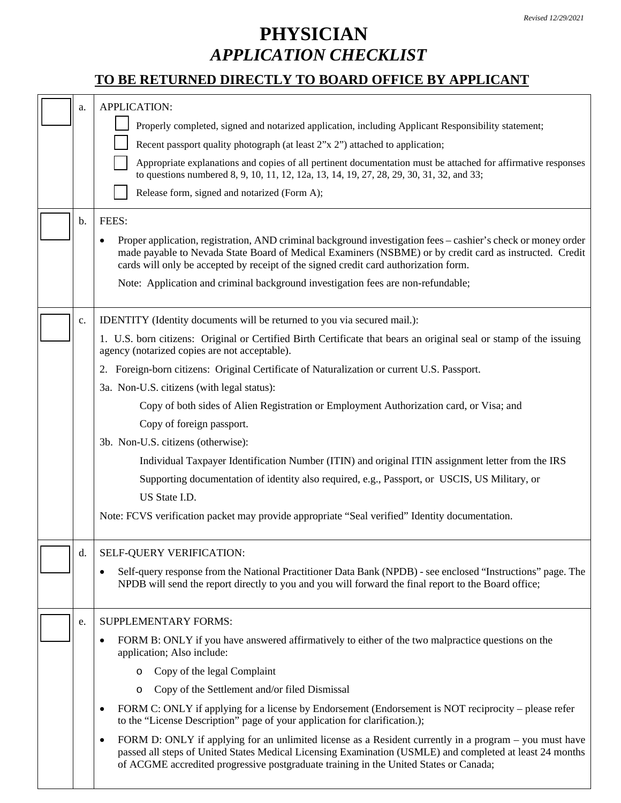## **PHYSICIAN** *APPLICATION CHECKLIST*

## **TO BE RETURNED DIRECTLY TO BOARD OFFICE BY APPLICANT**

| a.<br>b. | <b>APPLICATION:</b><br>Properly completed, signed and notarized application, including Applicant Responsibility statement;<br>Recent passport quality photograph (at least 2"x 2") attached to application;<br>Appropriate explanations and copies of all pertinent documentation must be attached for affirmative responses<br>to questions numbered 8, 9, 10, 11, 12, 12a, 13, 14, 19, 27, 28, 29, 30, 31, 32, and 33;<br>Release form, signed and notarized (Form A);<br>FEES:<br>Proper application, registration, AND criminal background investigation fees – cashier's check or money order<br>made payable to Nevada State Board of Medical Examiners (NSBME) or by credit card as instructed. Credit<br>cards will only be accepted by receipt of the signed credit card authorization form.                                                                              |
|----------|------------------------------------------------------------------------------------------------------------------------------------------------------------------------------------------------------------------------------------------------------------------------------------------------------------------------------------------------------------------------------------------------------------------------------------------------------------------------------------------------------------------------------------------------------------------------------------------------------------------------------------------------------------------------------------------------------------------------------------------------------------------------------------------------------------------------------------------------------------------------------------|
|          | Note: Application and criminal background investigation fees are non-refundable;                                                                                                                                                                                                                                                                                                                                                                                                                                                                                                                                                                                                                                                                                                                                                                                                   |
| c.       | IDENTITY (Identity documents will be returned to you via secured mail.):<br>1. U.S. born citizens: Original or Certified Birth Certificate that bears an original seal or stamp of the issuing<br>agency (notarized copies are not acceptable).<br>2. Foreign-born citizens: Original Certificate of Naturalization or current U.S. Passport.<br>3a. Non-U.S. citizens (with legal status):<br>Copy of both sides of Alien Registration or Employment Authorization card, or Visa; and<br>Copy of foreign passport.<br>3b. Non-U.S. citizens (otherwise):<br>Individual Taxpayer Identification Number (ITIN) and original ITIN assignment letter from the IRS<br>Supporting documentation of identity also required, e.g., Passport, or USCIS, US Military, or<br>US State I.D.<br>Note: FCVS verification packet may provide appropriate "Seal verified" Identity documentation. |
| d.       | <b>SELF-QUERY VERIFICATION:</b><br>Self-query response from the National Practitioner Data Bank (NPDB) - see enclosed "Instructions" page. The<br>NPDB will send the report directly to you and you will forward the final report to the Board office;                                                                                                                                                                                                                                                                                                                                                                                                                                                                                                                                                                                                                             |
| e.       | SUPPLEMENTARY FORMS:<br>FORM B: ONLY if you have answered affirmatively to either of the two malpractice questions on the<br>$\bullet$<br>application; Also include:<br>Copy of the legal Complaint<br>Copy of the Settlement and/or filed Dismissal<br>O<br>FORM C: ONLY if applying for a license by Endorsement (Endorsement is NOT reciprocity – please refer<br>to the "License Description" page of your application for clarification.);<br>FORM D: ONLY if applying for an unlimited license as a Resident currently in a program – you must have<br>passed all steps of United States Medical Licensing Examination (USMLE) and completed at least 24 months<br>of ACGME accredited progressive postgraduate training in the United States or Canada;                                                                                                                     |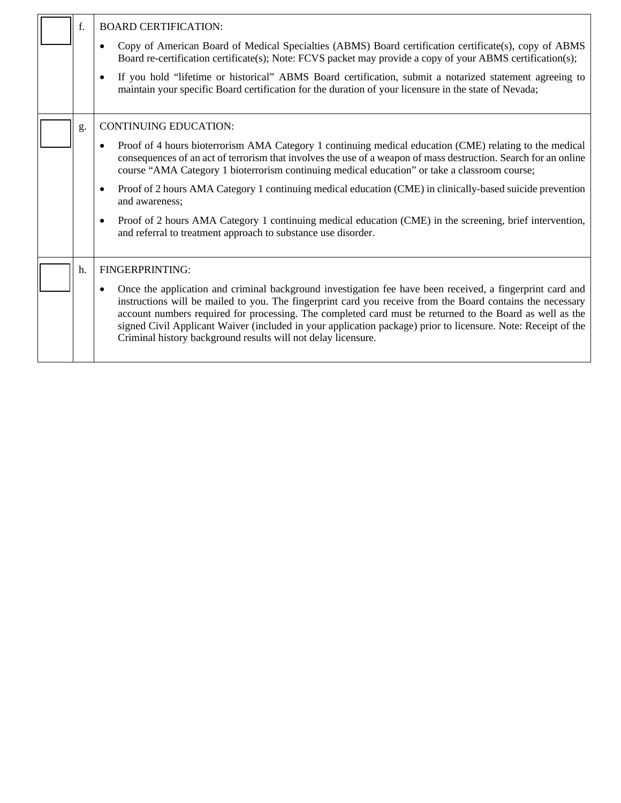|  | f. | <b>BOARD CERTIFICATION:</b>                                                                                                                                                                                                                                                                                                                                                                                                                                                                                                        |
|--|----|------------------------------------------------------------------------------------------------------------------------------------------------------------------------------------------------------------------------------------------------------------------------------------------------------------------------------------------------------------------------------------------------------------------------------------------------------------------------------------------------------------------------------------|
|  |    | Copy of American Board of Medical Specialties (ABMS) Board certification certificate(s), copy of ABMS<br>$\bullet$<br>Board re-certification certificate(s); Note: FCVS packet may provide a copy of your ABMS certification(s);                                                                                                                                                                                                                                                                                                   |
|  |    | If you hold "lifetime or historical" ABMS Board certification, submit a notarized statement agreeing to<br>$\bullet$<br>maintain your specific Board certification for the duration of your licensure in the state of Nevada;                                                                                                                                                                                                                                                                                                      |
|  | g. | <b>CONTINUING EDUCATION:</b>                                                                                                                                                                                                                                                                                                                                                                                                                                                                                                       |
|  |    | Proof of 4 hours bioterrorism AMA Category 1 continuing medical education (CME) relating to the medical<br>$\bullet$<br>consequences of an act of terrorism that involves the use of a weapon of mass destruction. Search for an online<br>course "AMA Category 1 bioterrorism continuing medical education" or take a classroom course;                                                                                                                                                                                           |
|  |    | Proof of 2 hours AMA Category 1 continuing medical education (CME) in clinically-based suicide prevention<br>$\bullet$<br>and awareness;                                                                                                                                                                                                                                                                                                                                                                                           |
|  |    | Proof of 2 hours AMA Category 1 continuing medical education (CME) in the screening, brief intervention,<br>$\bullet$<br>and referral to treatment approach to substance use disorder.                                                                                                                                                                                                                                                                                                                                             |
|  | h. | FINGERPRINTING:                                                                                                                                                                                                                                                                                                                                                                                                                                                                                                                    |
|  |    | Once the application and criminal background investigation fee have been received, a fingerprint card and<br>$\bullet$<br>instructions will be mailed to you. The fingerprint card you receive from the Board contains the necessary<br>account numbers required for processing. The completed card must be returned to the Board as well as the<br>signed Civil Applicant Waiver (included in your application package) prior to licensure. Note: Receipt of the<br>Criminal history background results will not delay licensure. |